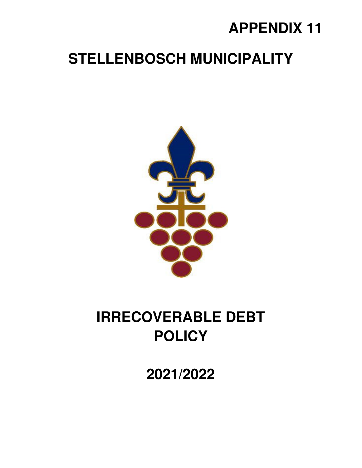## **APPENDIX 11**

### **STELLENBOSCH MUNICIPALITY**



# **IRRECOVERABLE DEBT POLICY**

**2021/2022**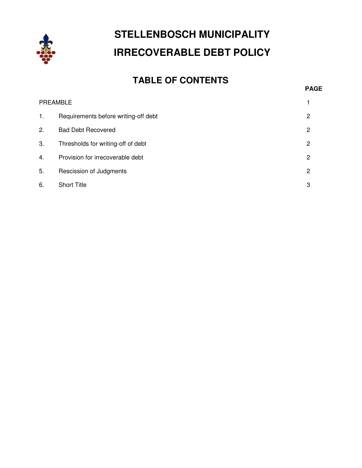

### **STELLENBOSCH MUNICIPALITY IRRECOVERABLE DEBT POLICY**

### **TABLE OF CONTENTS**

| . . |
|-----|
|-----|

|    | <b>PREAMBLE</b>                      |   |
|----|--------------------------------------|---|
| 1. | Requirements before writing-off debt | 2 |
| 2. | <b>Bad Debt Recovered</b>            | 2 |
| 3. | Thresholds for writing-off of debt   | 2 |
| 4. | Provision for irrecoverable debt     | 2 |
| 5. | Rescission of Judgments              | 2 |
| 6. | <b>Short Title</b>                   | 3 |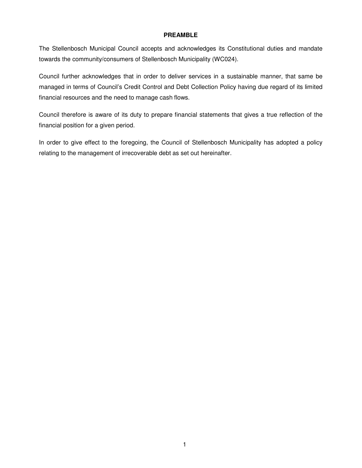#### **PREAMBLE**

The Stellenbosch Municipal Council accepts and acknowledges its Constitutional duties and mandate towards the community/consumers of Stellenbosch Municipality (WC024).

Council further acknowledges that in order to deliver services in a sustainable manner, that same be managed in terms of Council's Credit Control and Debt Collection Policy having due regard of its limited financial resources and the need to manage cash flows.

Council therefore is aware of its duty to prepare financial statements that gives a true reflection of the financial position for a given period.

In order to give effect to the foregoing, the Council of Stellenbosch Municipality has adopted a policy relating to the management of irrecoverable debt as set out hereinafter.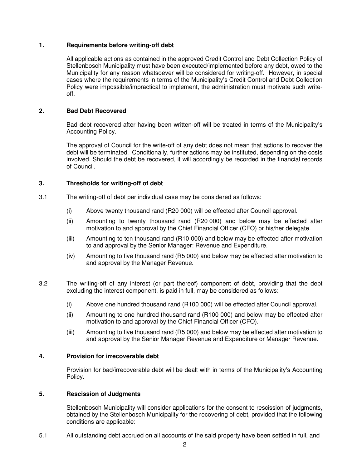#### **1. Requirements before writing-off debt**

All applicable actions as contained in the approved Credit Control and Debt Collection Policy of Stellenbosch Municipality must have been executed/implemented before any debt, owed to the Municipality for any reason whatsoever will be considered for writing-off. However, in special cases where the requirements in terms of the Municipality's Credit Control and Debt Collection Policy were impossible/impractical to implement, the administration must motivate such writeoff.

#### **2. Bad Debt Recovered**

Bad debt recovered after having been written-off will be treated in terms of the Municipality's Accounting Policy.

The approval of Council for the write-off of any debt does not mean that actions to recover the debt will be terminated. Conditionally, further actions may be instituted, depending on the costs involved. Should the debt be recovered, it will accordingly be recorded in the financial records of Council.

#### **3. Thresholds for writing-off of debt**

- 3.1 The writing-off of debt per individual case may be considered as follows:
	- (i) Above twenty thousand rand (R20 000) will be effected after Council approval.
	- (ii) Amounting to twenty thousand rand (R20 000) and below may be effected after motivation to and approval by the Chief Financial Officer (CFO) or his/her delegate.
	- (iii) Amounting to ten thousand rand (R10 000) and below may be effected after motivation to and approval by the Senior Manager: Revenue and Expenditure.
	- (iv) Amounting to five thousand rand (R5 000) and below may be effected after motivation to and approval by the Manager Revenue.
- 3.2 The writing-off of any interest (or part thereof) component of debt, providing that the debt excluding the interest component, is paid in full, may be considered as follows:
	- (i) Above one hundred thousand rand (R100 000) will be effected after Council approval.
	- (ii) Amounting to one hundred thousand rand (R100 000) and below may be effected after motivation to and approval by the Chief Financial Officer (CFO).
	- (iii) Amounting to five thousand rand (R5 000) and below may be effected after motivation to and approval by the Senior Manager Revenue and Expenditure or Manager Revenue.

#### **4. Provision for irrecoverable debt**

Provision for bad/irrecoverable debt will be dealt with in terms of the Municipality's Accounting Policy.

#### **5. Rescission of Judgments**

Stellenbosch Municipality will consider applications for the consent to rescission of judgments, obtained by the Stellenbosch Municipality for the recovering of debt, provided that the following conditions are applicable:

5.1 All outstanding debt accrued on all accounts of the said property have been settled in full, and